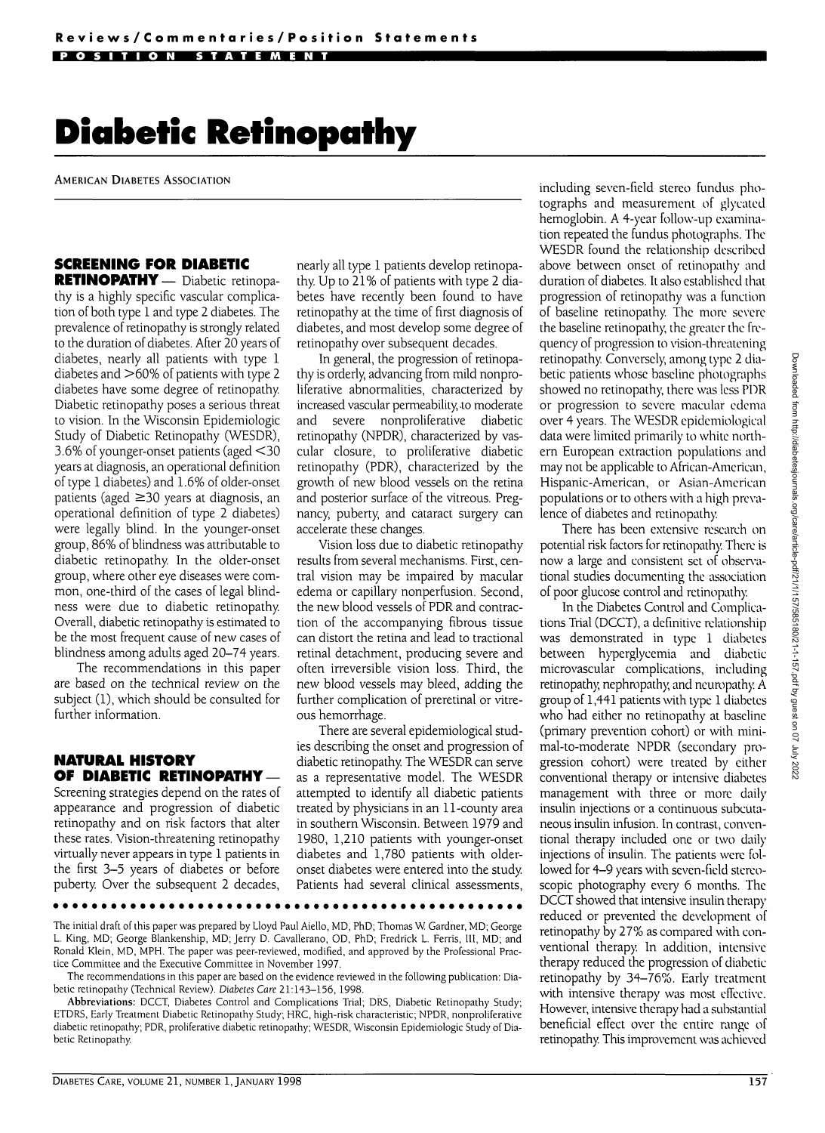# **Diabetic Retinopathy**

AMERICAN DIABETES ASSOCIATION

## **SCREENING FOR DIABETIC**

RETINOPATHY - Diabetic retinopathy is a highly specific vascular complication of both type 1 and type 2 diabetes. The prevalence of retinopathy is strongly related to the duration of diabetes. After 20 years of diabetes, nearly all patients with type 1 diabetes and  $>60\%$  of patients with type 2 diabetes have some degree of retinopathy. Diabetic retinopathy poses a serious threat to vision. In the Wisconsin Epidemiologic Study of Diabetic Retinopathy (WESDR), 3.6% of younger-onset patients (aged <30 years at diagnosis, an operational definition of type 1 diabetes) and 1.6% of older-onset patients (aged  $\geq$ 30 years at diagnosis, an operational definition of type 2 diabetes) were legally blind. In the younger-onset group, 86% of blindness was attributable to diabetic retinopathy. In the older-onset group, where other eye diseases were common, one-third of the cases of legal blindness were due to diabetic retinopathy. Overall, diabetic retinopathy is estimated to be the most frequent cause of new cases of blindness among adults aged 20-74 years.

The recommendations in this paper are based on the technical review on the subject (1), which should be consulted for further information.

## **NATURAL HISTORY OF DIABETIC RETINOPATHY —**

Screening strategies depend on the rates of appearance and progression of diabetic retinopathy and on risk factors that alter these rates. Vision-threatening retinopathy virtually never appears in type 1 patients in the first 3-5 years of diabetes or before puberty. Over the subsequent 2 decades,

nearly all type 1 patients develop retinopathy. Up to 21% of patients with type 2 diabetes have recently been found to have retinopathy at the time of first diagnosis of diabetes, and most develop some degree of retinopathy over subsequent decades.

In general, the progression of retinopathy is orderly, advancing from mild nonproliferative abnormalities, characterized by increased vascular permeability, to moderate and severe nonproliferative diabetic retinopathy (NPDR), characterized by vascular closure, to proliferative diabetic retinopathy (PDR), characterized by the growth of new blood vessels on the retina and posterior surface of the vitreous. Pregnancy, puberty, and cataract surgery can accelerate these changes.

Vision loss due to diabetic retinopathy results from several mechanisms. First, central vision may be impaired by macular edema or capillary nonperfusion. Second, the new blood vessels of PDR and contraction of the accompanying fibrous tissue can distort the retina and lead to fractional retinal detachment, producing severe and often irreversible vision loss. Third, the new blood vessels may bleed, adding the further complication of preretinal or vitreous hemorrhage.

There are several epidemiological studies describing the onset and progression of diabetic retinopathy. The WESDR can serve as a representative model. The WESDR attempted to identify all diabetic patients treated by physicians in an 11-county area in southern Wisconsin. Between 1979 and 1980, 1,210 patients with younger-onset diabetes and 1,780 patients with olderonset diabetes were entered into the study. Patients had several clinical assessments,

The initial draft of this paper was prepared by Lloyd Paul Aiello, MD, PhD; Thomas W Gardner, MD; George L. King, MD; George Blankenship, MD; Jerry D. Cavallerano, OD, PhD; Fredrick L. Ferris, III, MD; and Ronald Klein, MD, MPH. The paper was peer-reviewed, modified, and approved by the Professional Practice Committee and the Executive Committee in November 1997.

The recommendations in this paper are based on the evidence reviewed in the following publication: Diabetic retinopathy (Technical Review). *Diabetes Care* 21:143-156, 1998.

**Abbreviations:** DCCT, Diabetes Control and Complications Trial; DRS, Diabetic Retinopathy Study; ETDRS, Early Treatment Diabetic Retinopathy Study; HRC, high-risk characteristic; NPDR, nonproliferative diabetic retinopathy; PDR, proliferative diabetic retinopathy; WESDR, Wisconsin Epidemiologic Study of Diabetic Retinopathy.

including seven-field stereo fundus photographs and measurement of glycated hemoglobin. A 4-year follow-up examination repeated the fundus photographs. The WESDR found the relationship described above between onset of retinopathy and duration of diabetes. It also established that progression of retinopathy was a function of baseline retinopathy. The more severe the baseline retinopathy, the greater the frequency of progression to vision-threatening retinopathy. Conversely, among type 2 diabetic patients whose baseline photographs showed no retinopathy, there was less PDR or progression to severe macular edema over 4 years. The WESDR epidemiological data were limited primarily to white northern European extraction populations and may not be applicable to African-American, Hispanic-American, or Asian-American populations or to others with a high prevalence of diabetes and retinopathy.

There has been extensive research on potential risk factors for retinopathy. There is now a large and consistent set of observational studies documenting the association of poor glucose control and retinopathy.

In the Diabetes Control and Complications Trial (DCCT), a definitive relationship was demonstrated in type 1 diabetes between hyperglycemia and diabetic microvascular complications, including retinopathy, nephropathy, and neuropathy. A group of 1,441 patients with type 1 diabetes who had either no retinopathy at baseline (primary prevention cohort) or with minimal-to-moderate NPDR (secondary progression cohort) were treated by either conventional therapy or intensive diabetes management with three or more daily insulin injections or a continuous subcutaneous insulin infusion. In contrast, conventional therapy included one or two daily injections of insulin. The patients were followed for 4-9 years with seven-field stereoscopic photography every 6 months. The DCCT showed that intensive insulin therapy reduced or prevented the development of retinopathy by 27% as compared with conventional therapy. In addition, intensive therapy reduced the progression of diabetic retinopathy by 34-76%. Early treatment with intensive therapy was most effective. However, intensive therapy had a substantial beneficial effect over the entire range of retinopathy. This improvement was achieved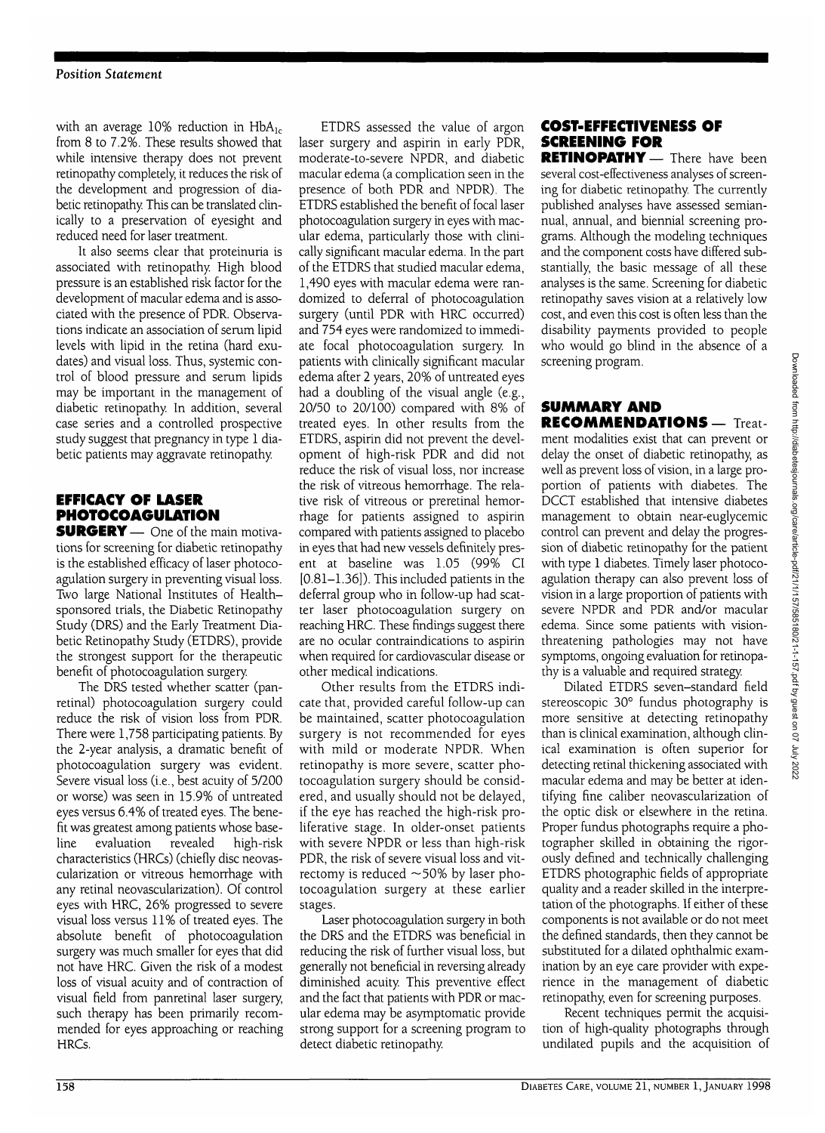#### *Position Statement*

with an average  $10\%$  reduction in  $HbA_{1c}$ from 8 to 7.2%. These results showed that while intensive therapy does not prevent retinopathy completely, it reduces the risk of the development and progression of diabetic retinopathy This can be translated clinically to a preservation of eyesight and reduced need for laser treatment.

It also seems clear that proteinuria is associated with retinopathy. High blood pressure is an established risk factor for the development of macular edema and is associated with the presence of PDR. Observations indicate an association of serum lipid levels with lipid in the retina (hard exudates) and visual loss. Thus, systemic control of blood pressure and serum lipids may be important in the management of diabetic retinopathy. In addition, several case series and a controlled prospective study suggest that pregnancy in type 1 diabetic patients may aggravate retinopathy.

# EFFICACY OF LASER PHOTOCOAGULATION

**SURGERY** — One of the main motivations for screening for diabetic retinopathy is the established efficacy of laser photocoagulation surgery in preventing visual loss. Two large National Institutes of Healthsponsored trials, the Diabetic Retinopathy Study (DRS) and the Early Treatment Diabetic Retinopathy Study (ETDRS), provide the strongest support for the therapeutic benefit of photocoagulation surgery.

The DRS tested whether scatter (panretinal) photocoagulation surgery could reduce the risk of vision loss from PDR. There were 1,758 participating patients. By the 2-year analysis, a dramatic benefit of photocoagulation surgery was evident. Severe visual loss (i.e., best acuity of 5/200 or worse) was seen in 15.9% of untreated eyes versus 6.4% of treated eyes. The benefit was greatest among patients whose baseline evaluation revealed high-risk characteristics (HRCs) (chiefly disc neovascularization or vitreous hemorrhage with any retinal neovascularization). Of control eyes with HRC, 26% progressed to severe visual loss versus 11% of treated eyes. The absolute benefit of photocoagulation surgery was much smaller for eyes that did not have HRC. Given the risk of a modest loss of visual acuity and of contraction of visual field from panretinal laser surgery, such therapy has been primarily recommended for eyes approaching or reaching HRCs.

ETDRS assessed the value of argon laser surgery and aspirin in early PDR, moderate-to-severe NPDR, and diabetic macular edema (a complication seen in the presence of both PDR and NPDR). The ETDRS established the benefit of focal laser photocoagulation surgery in eyes with macular edema, particularly those with clinically significant macular edema. In the part of the ETDRS that studied macular edema, 1,490 eyes with macular edema were randomized to deferral of photocoagulation surgery (until PDR with HRC occurred) and 754 eyes were randomized to immediate focal photocoagulation surgery. In patients with clinically significant macular edema after 2 years, 20% of untreated eyes had a doubling of the visual angle (e.g., 20/50 to 20/100) compared with 8% of treated eyes. In other results from the ETDRS, aspirin did not prevent the development of high-risk PDR and did not reduce the risk of visual loss, nor increase the risk of vitreous hemorrhage. The relative risk of vitreous or preretinal hemorrhage for patients assigned to aspirin compared with patients assigned to placebo in eyes that had new vessels definitely present at baseline was 1.05 (99% CI [0.81-1.36]). This included patients in the deferral group who in follow-up had scatter laser photocoagulation surgery on reaching HRC. These findings suggest there are no ocular contraindications to aspirin when required for cardiovascular disease or other medical indications.

Other results from the ETDRS indicate that, provided careful follow-up can be maintained, scatter photocoagulation surgery is not recommended for eyes with mild or moderate NPDR. When retinopathy is more severe, scatter photocoagulation surgery should be considered, and usually should not be delayed, if the eye has reached the high-risk proliferative stage. In older-onset patients with severe NPDR or less than high-risk PDR, the risk of severe visual loss and vitrectomy is reduced  $\sim$  50% by laser photocoagulation surgery at these earlier stages.

Laser photocoagulation surgery in both the DRS and the ETDRS was beneficial in reducing the risk of further visual loss, but generally not beneficial in reversing already diminished acuity. This preventive effect and the fact that patients with PDR or macular edema may be asymptomatic provide strong support for a screening program to detect diabetic retinopathy.

## COST-EFFECTIVENESS OF SCREENING FOR

RETINOPATHY — There have been several cost-effectiveness analyses of screening for diabetic retinopathy. The currently published analyses have assessed semiannual, annual, and biennial screening programs. Although the modeling techniques and the component costs have differed substantially, the basic message of all these analyses is the same. Screening for diabetic retinopathy saves vision at a relatively low cost, and even this cost is often less than the disability payments provided to people who would go blind in the absence of a screening program.

## SUMMARY AND RECOMMENDATIONS — Treat-

ment modalities exist that can prevent or delay the onset of diabetic retinopathy, as well as prevent loss of vision, in a large proportion of patients with diabetes. The DCCT established that intensive diabetes management to obtain near-euglycemic control can prevent and delay the progression of diabetic retinopathy for the patient with type 1 diabetes. Timely laser photocoagulation therapy can also prevent loss of vision in a large proportion of patients with severe NPDR and PDR and/or macular edema. Since some patients with visionthreatening pathologies may not have symptoms, ongoing evaluation for retinopathy is a valuable and required strategy.

Dilated ETDRS seven-standard field stereoscopic 30° fundus photography is more sensitive at detecting retinopathy than is clinical examination, although clinical examination is often superior for detecting retinal thickening associated with macular edema and may be better at identifying fine caliber neovascularization of the optic disk or elsewhere in the retina. Proper fundus photographs require a photographer skilled in obtaining the rigorously defined and technically challenging ETDRS photographic fields of appropriate quality and a reader skilled in the interpretation of the photographs. If either of these components is not available or do not meet the defined standards, then they cannot be substituted for a dilated ophthalmic examination by an eye care provider with experience in the management of diabetic retinopathy, even for screening purposes.

Recent techniques permit the acquisition of high-quality photographs through undilated pupils and the acquisition of